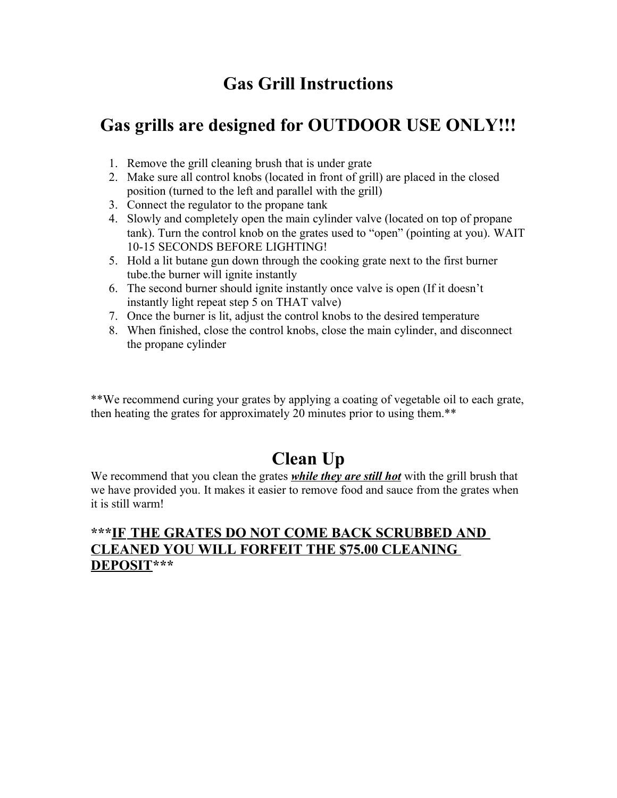# **Gas Grill Instructions**

### **Gas grills are designed for OUTDOOR USE ONLY!!!**

- 1. Remove the grill cleaning brush that is under grate
- 2. Make sure all control knobs (located in front of grill) are placed in the closed position (turned to the left and parallel with the grill)
- 3. Connect the regulator to the propane tank
- 4. Slowly and completely open the main cylinder valve (located on top of propane tank). Turn the control knob on the grates used to "open" (pointing at you). WAIT 10-15 SECONDS BEFORE LIGHTING!
- 5. Hold a lit butane gun down through the cooking grate next to the first burner tube.the burner will ignite instantly
- 6. The second burner should ignite instantly once valve is open (If it doesn't instantly light repeat step 5 on THAT valve)
- 7. Once the burner is lit, adjust the control knobs to the desired temperature
- 8. When finished, close the control knobs, close the main cylinder, and disconnect the propane cylinder

\*\*We recommend curing your grates by applying a coating of vegetable oil to each grate, then heating the grates for approximately 20 minutes prior to using them.\*\*

# **Clean Up**

We recommend that you clean the grates *while they are still hot* with the grill brush that we have provided you. It makes it easier to remove food and sauce from the grates when it is still warm!

#### **\*\*\* IF THE GRATES DO NOT COME BACK SCRUBBED AND CLEANED YOU WILL FORFEIT THE \$75.00 CLEANING DEPOSIT\*\*\***